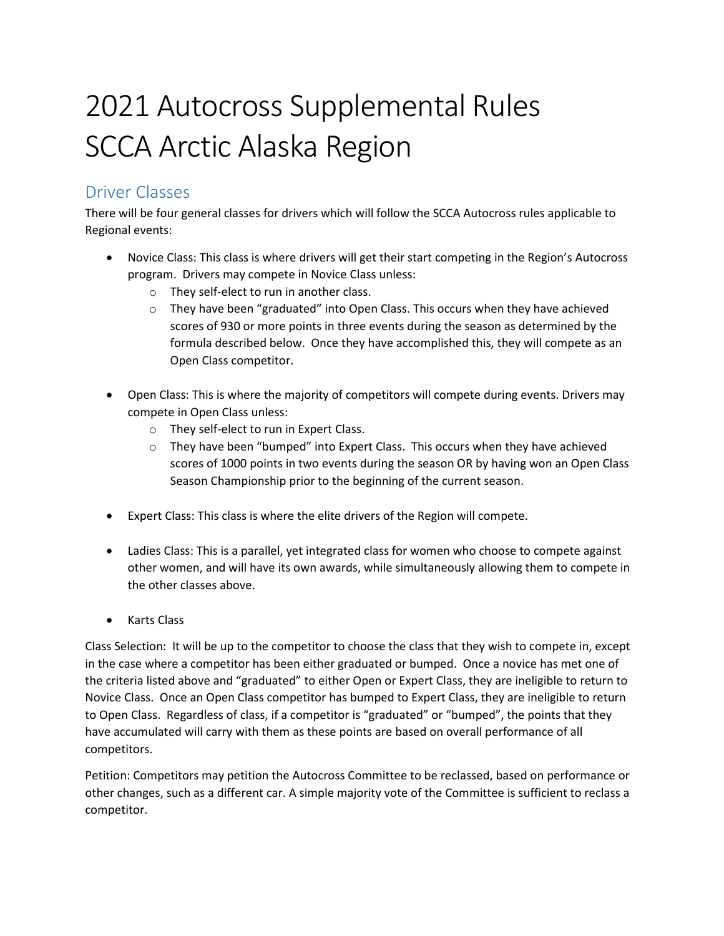# 2021 Autocross Supplemental Rules SCCA Arctic Alaska Region

## Driver Classes

There will be four general classes for drivers which will follow the SCCA Autocross rules applicable to Regional events:

- Novice Class: This class is where drivers will get their start competing in the Region's Autocross program. Drivers may compete in Novice Class unless:
	- o They self-elect to run in another class.
	- o They have been "graduated" into Open Class. This occurs when they have achieved scores of 930 or more points in three events during the season as determined by the formula described below. Once they have accomplished this, they will compete as an Open Class competitor.
- Open Class: This is where the majority of competitors will compete during events. Drivers may compete in Open Class unless:
	- o They self-elect to run in Expert Class.
	- o They have been "bumped" into Expert Class. This occurs when they have achieved scores of 1000 points in two events during the season OR by having won an Open Class Season Championship prior to the beginning of the current season.
- Expert Class: This class is where the elite drivers of the Region will compete.
- Ladies Class: This is a parallel, yet integrated class for women who choose to compete against other women, and will have its own awards, while simultaneously allowing them to compete in the other classes above.
- Karts Class

Class Selection: It will be up to the competitor to choose the class that they wish to compete in, except in the case where a competitor has been either graduated or bumped. Once a novice has met one of the criteria listed above and "graduated" to either Open or Expert Class, they are ineligible to return to Novice Class. Once an Open Class competitor has bumped to Expert Class, they are ineligible to return to Open Class. Regardless of class, if a competitor is "graduated" or "bumped", the points that they have accumulated will carry with them as these points are based on overall performance of all competitors.

Petition: Competitors may petition the Autocross Committee to be reclassed, based on performance or other changes, such as a different car. A simple majority vote of the Committee is sufficient to reclass a competitor.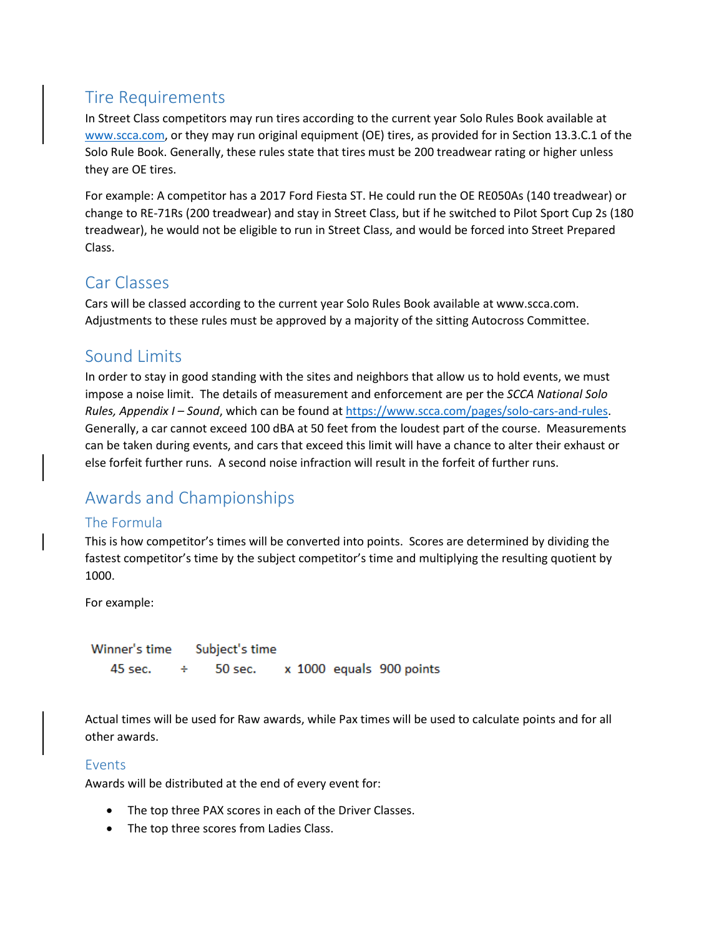# Tire Requirements

In Street Class competitors may run tires according to the current year Solo Rules Book available at [www.scca.com,](http://www.scca.com/) or they may run original equipment (OE) tires, as provided for in Section 13.3.C.1 of the Solo Rule Book. Generally, these rules state that tires must be 200 treadwear rating or higher unless they are OE tires.

For example: A competitor has a 2017 Ford Fiesta ST. He could run the OE RE050As (140 treadwear) or change to RE-71Rs (200 treadwear) and stay in Street Class, but if he switched to Pilot Sport Cup 2s (180 treadwear), he would not be eligible to run in Street Class, and would be forced into Street Prepared Class.

# Car Classes

Cars will be classed according to the current year Solo Rules Book available at www.scca.com. Adjustments to these rules must be approved by a majority of the sitting Autocross Committee.

# Sound Limits

In order to stay in good standing with the sites and neighbors that allow us to hold events, we must impose a noise limit. The details of measurement and enforcement are per the *SCCA National Solo Rules, Appendix I – Sound*, which can be found a[t https://www.scca.com/pages/solo-cars-and-rules.](https://www.scca.com/pages/solo-cars-and-rules) Generally, a car cannot exceed 100 dBA at 50 feet from the loudest part of the course. Measurements can be taken during events, and cars that exceed this limit will have a chance to alter their exhaust or else forfeit further runs. A second noise infraction will result in the forfeit of further runs.

# Awards and Championships

## The Formula

This is how competitor's times will be converted into points. Scores are determined by dividing the fastest competitor's time by the subject competitor's time and multiplying the resulting quotient by 1000.

For example:

Winner's time Subject's time  $45$  sec. 50 sec. x 1000 equals 900 points ÷

Actual times will be used for Raw awards, while Pax times will be used to calculate points and for all other awards.

## Events

Awards will be distributed at the end of every event for:

- The top three PAX scores in each of the Driver Classes.
- The top three scores from Ladies Class.